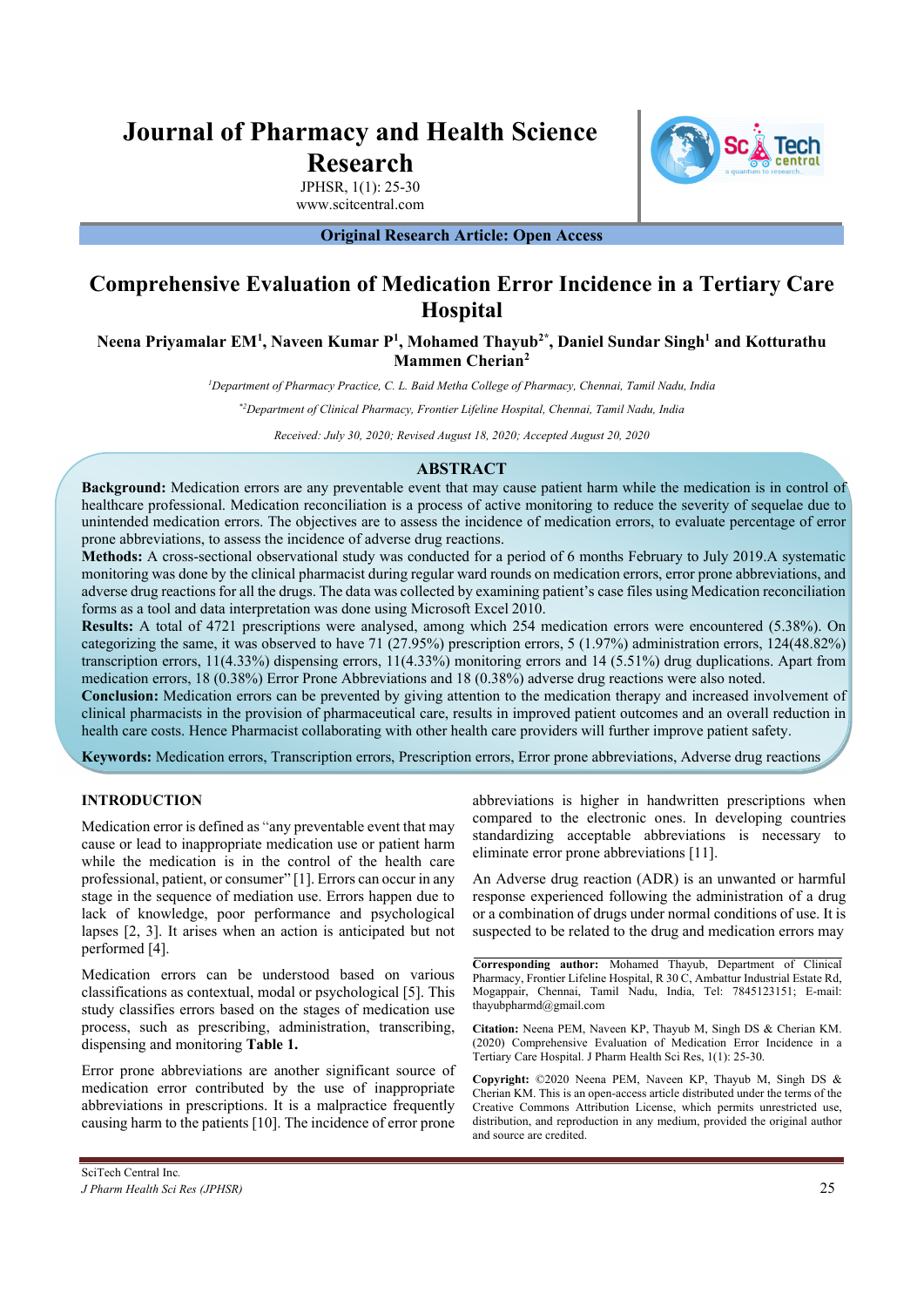# **Journal of Pharmacy and Health Science Research**



JPHSR, 1(1): 25-30 www.scitcentral.com

**Original Research Article: Open Access** 

# **Comprehensive Evaluation of Medication Error Incidence in a Tertiary Care Hospital**

**Neena Priyamalar EM1 , Naveen Kumar P1 , Mohamed Thayub2\*, Daniel Sundar Singh1 and Kotturathu Mammen Cherian2**

*1 Department of Pharmacy Practice, C. L. Baid Metha College of Pharmacy, Chennai, Tamil Nadu, India* 

*\*2Department of Clinical Pharmacy, Frontier Lifeline Hospital, Chennai, Tamil Nadu, India* 

*Received: July 30, 2020; Revised August 18, 2020; Accepted August 20, 2020* 

# **ABSTRACT**

**Background:** Medication errors are any preventable event that may cause patient harm while the medication is in control of healthcare professional. Medication reconciliation is a process of active monitoring to reduce the severity of sequelae due to unintended medication errors. The objectives are to assess the incidence of medication errors, to evaluate percentage of error prone abbreviations, to assess the incidence of adverse drug reactions.

**Methods:** A cross-sectional observational study was conducted for a period of 6 months February to July 2019.A systematic monitoring was done by the clinical pharmacist during regular ward rounds on medication errors, error prone abbreviations, and adverse drug reactions for all the drugs. The data was collected by examining patient's case files using Medication reconciliation forms as a tool and data interpretation was done using Microsoft Excel 2010.

**Results:** A total of 4721 prescriptions were analysed, among which 254 medication errors were encountered (5.38%). On categorizing the same, it was observed to have 71 (27.95%) prescription errors, 5 (1.97%) administration errors, 124(48.82%) transcription errors, 11(4.33%) dispensing errors, 11(4.33%) monitoring errors and 14 (5.51%) drug duplications. Apart from medication errors, 18 (0.38%) Error Prone Abbreviations and 18 (0.38%) adverse drug reactions were also noted.

**Conclusion:** Medication errors can be prevented by giving attention to the medication therapy and increased involvement of clinical pharmacists in the provision of pharmaceutical care, results in improved patient outcomes and an overall reduction in health care costs. Hence Pharmacist collaborating with other health care providers will further improve patient safety.

**Keywords:** Medication errors, Transcription errors, Prescription errors, Error prone abbreviations, Adverse drug reactions

## **INTRODUCTION**

Medication error is defined as "any preventable event that may cause or lead to inappropriate medication use or patient harm while the medication is in the control of the health care professional, patient, or consumer" [1]. Errors can occur in any stage in the sequence of mediation use. Errors happen due to lack of knowledge, poor performance and psychological lapses [2, 3]. It arises when an action is anticipated but not performed [4].

Medication errors can be understood based on various classifications as contextual, modal or psychological [5]. This study classifies errors based on the stages of medication use process, such as prescribing, administration, transcribing, dispensing and monitoring **Table 1.**

Error prone abbreviations are another significant source of medication error contributed by the use of inappropriate abbreviations in prescriptions. It is a malpractice frequently causing harm to the patients [10]. The incidence of error prone

abbreviations is higher in handwritten prescriptions when compared to the electronic ones. In developing countries standardizing acceptable abbreviations is necessary to eliminate error prone abbreviations [11].

An Adverse drug reaction (ADR) is an unwanted or harmful response experienced following the administration of a drug or a combination of drugs under normal conditions of use. It is suspected to be related to the drug and medication errors may

**Corresponding author:** Mohamed Thayub, Department of Clinical Pharmacy, Frontier Lifeline Hospital, R 30 C, Ambattur Industrial Estate Rd, Mogappair, Chennai, Tamil Nadu, India, Tel: 7845123151; E-mail: thayubpharmd@gmail.com

**Citation:** Neena PEM, Naveen KP, Thayub M, Singh DS & Cherian KM. (2020) Comprehensive Evaluation of Medication Error Incidence in a Tertiary Care Hospital. J Pharm Health Sci Res, 1(1): 25-30.

**Copyright:** ©2020 Neena PEM, Naveen KP, Thayub M, Singh DS & Cherian KM. This is an open-access article distributed under the terms of the Creative Commons Attribution License, which permits unrestricted use, distribution, and reproduction in any medium, provided the original author and source are credited.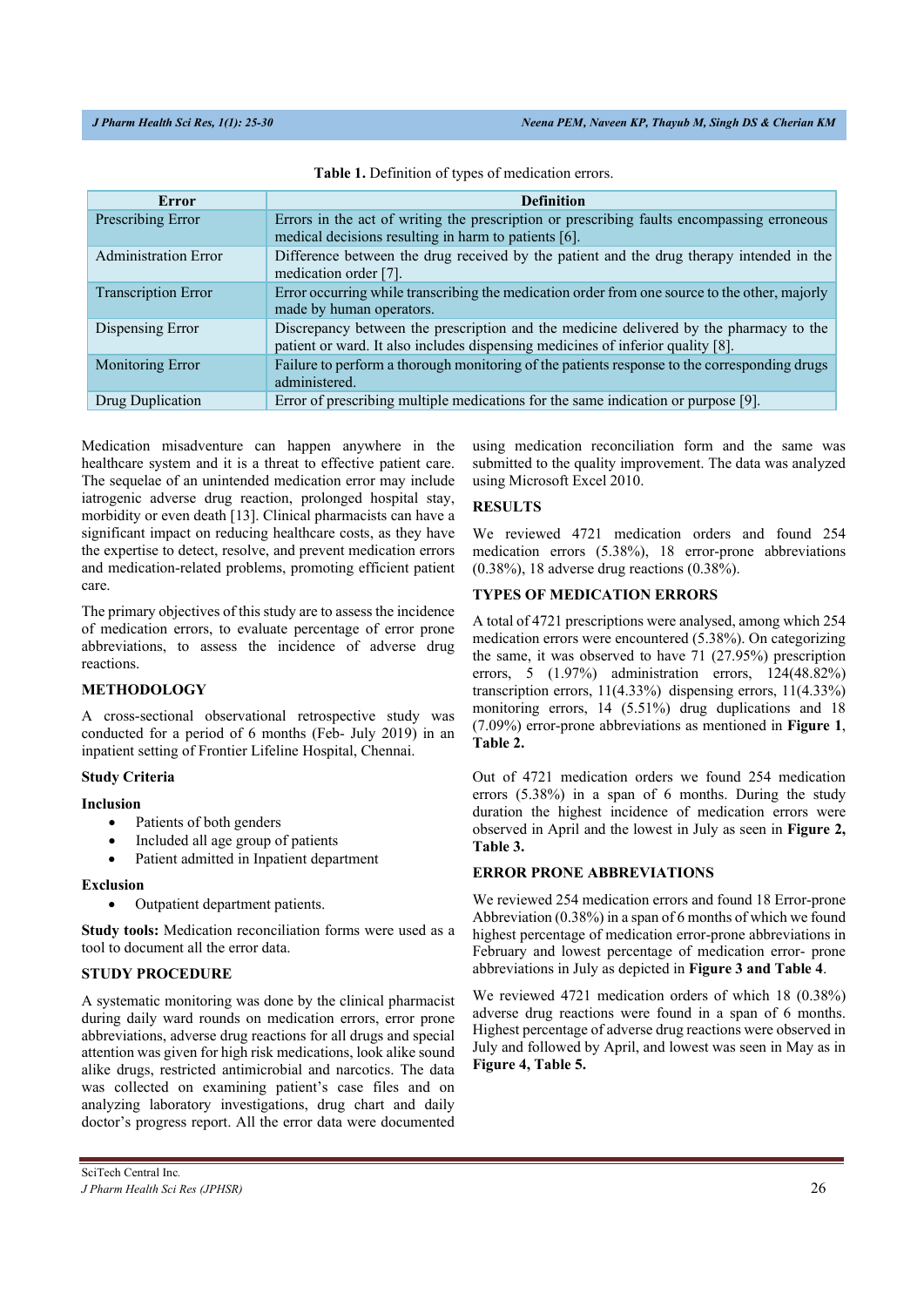| Error                       | <b>Definition</b>                                                                                                                                                         |
|-----------------------------|---------------------------------------------------------------------------------------------------------------------------------------------------------------------------|
| Prescribing Error           | Errors in the act of writing the prescription or prescribing faults encompassing erroneous<br>medical decisions resulting in harm to patients [6].                        |
| <b>Administration Error</b> | Difference between the drug received by the patient and the drug therapy intended in the<br>medication order [7].                                                         |
| <b>Transcription Error</b>  | Error occurring while transcribing the medication order from one source to the other, majorly<br>made by human operators.                                                 |
| Dispensing Error            | Discrepancy between the prescription and the medicine delivered by the pharmacy to the<br>patient or ward. It also includes dispensing medicines of inferior quality [8]. |
| <b>Monitoring Error</b>     | Failure to perform a thorough monitoring of the patients response to the corresponding drugs<br>administered.                                                             |
| Drug Duplication            | Error of prescribing multiple medications for the same indication or purpose [9].                                                                                         |

Medication misadventure can happen anywhere in the healthcare system and it is a threat to effective patient care. The sequelae of an unintended medication error may include iatrogenic adverse drug reaction, prolonged hospital stay, morbidity or even death [13]. Clinical pharmacists can have a significant impact on reducing healthcare costs, as they have the expertise to detect, resolve, and prevent medication errors and medication-related problems, promoting efficient patient care.

The primary objectives of this study are to assess the incidence of medication errors, to evaluate percentage of error prone abbreviations, to assess the incidence of adverse drug reactions.

#### **METHODOLOGY**

A cross-sectional observational retrospective study was conducted for a period of 6 months (Feb- July 2019) in an inpatient setting of Frontier Lifeline Hospital, Chennai.

#### **Study Criteria**

#### **Inclusion**

- Patients of both genders
- Included all age group of patients
- Patient admitted in Inpatient department

#### **Exclusion**

Outpatient department patients.

**Study tools:** Medication reconciliation forms were used as a tool to document all the error data.

#### **STUDY PROCEDURE**

A systematic monitoring was done by the clinical pharmacist during daily ward rounds on medication errors, error prone abbreviations, adverse drug reactions for all drugs and special attention was given for high risk medications, look alike sound alike drugs, restricted antimicrobial and narcotics. The data was collected on examining patient's case files and on analyzing laboratory investigations, drug chart and daily doctor's progress report. All the error data were documented using medication reconciliation form and the same was submitted to the quality improvement. The data was analyzed using Microsoft Excel 2010.

## **RESULTS**

We reviewed 4721 medication orders and found 254 medication errors (5.38%), 18 error-prone abbreviations (0.38%), 18 adverse drug reactions (0.38%).

# **TYPES OF MEDICATION ERRORS**

A total of 4721 prescriptions were analysed, among which 254 medication errors were encountered (5.38%). On categorizing the same, it was observed to have 71 (27.95%) prescription errors, 5 (1.97%) administration errors, 124(48.82%) transcription errors, 11(4.33%) dispensing errors, 11(4.33%) monitoring errors, 14 (5.51%) drug duplications and 18 (7.09%) error-prone abbreviations as mentioned in **Figure 1**, **Table 2.** 

Out of 4721 medication orders we found 254 medication errors (5.38%) in a span of 6 months. During the study duration the highest incidence of medication errors were observed in April and the lowest in July as seen in **Figure 2, Table 3.** 

#### **ERROR PRONE ABBREVIATIONS**

We reviewed 254 medication errors and found 18 Error-prone Abbreviation (0.38%) in a span of 6 months of which we found highest percentage of medication error-prone abbreviations in February and lowest percentage of medication error- prone abbreviations in July as depicted in **Figure 3 and Table 4**.

We reviewed 4721 medication orders of which 18 (0.38%) adverse drug reactions were found in a span of 6 months. Highest percentage of adverse drug reactions were observed in July and followed by April, and lowest was seen in May as in **Figure 4, Table 5.**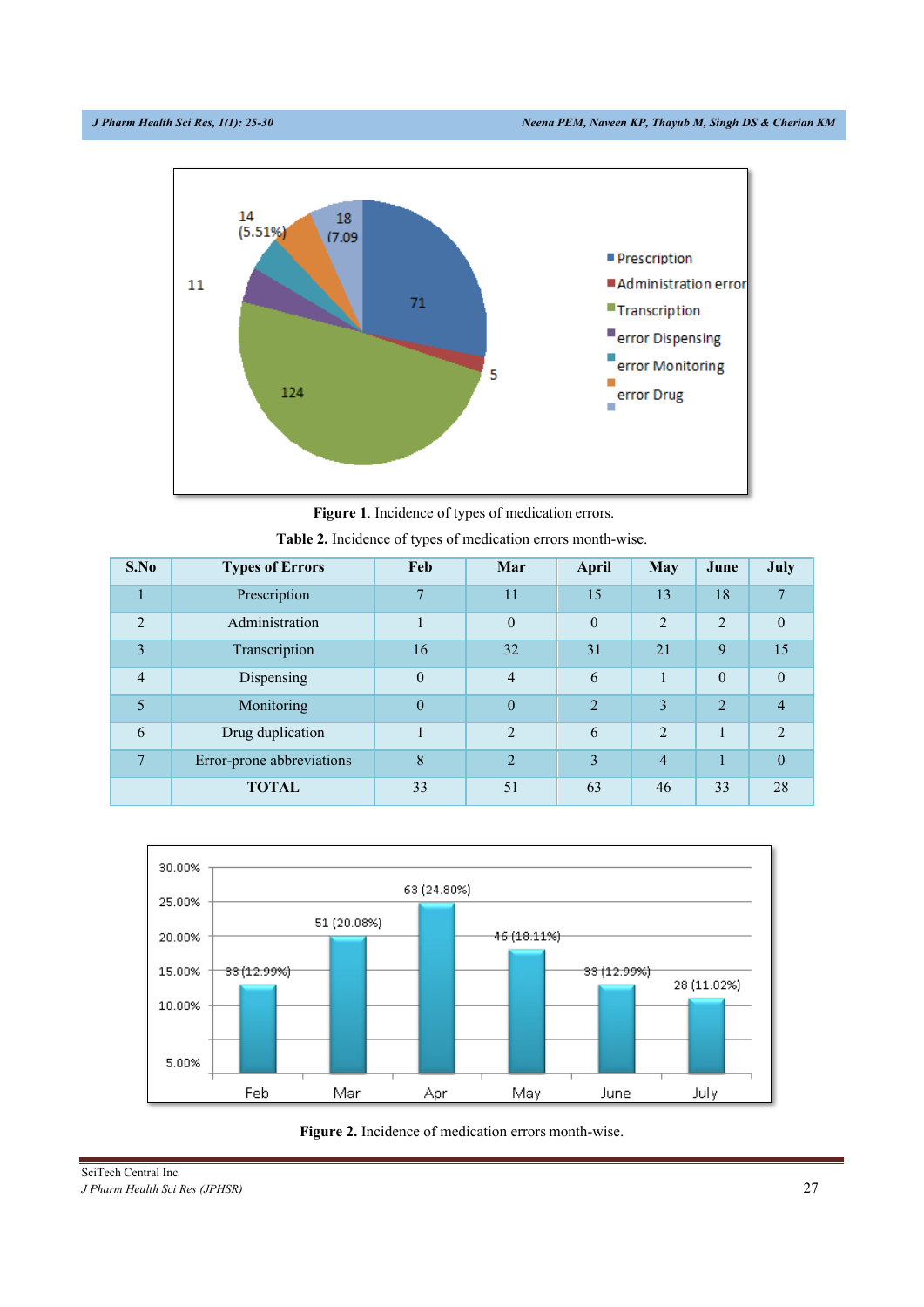

**Figure 1**. Incidence of types of medication errors.

| S.No                        | <b>Types of Errors</b>    | Feb            | Mar            | April          | <b>May</b>                  | June           | July           |
|-----------------------------|---------------------------|----------------|----------------|----------------|-----------------------------|----------------|----------------|
|                             | Prescription              | $\overline{7}$ | 11             | 15             | 13                          | 18             |                |
| $\mathcal{D}_{\mathcal{L}}$ | Administration            | $\mathbf{I}$   | $\theta$       | $\theta$       | $\overline{2}$              | $\overline{2}$ | $\theta$       |
| 3                           | Transcription             | 16             | 32             | 31             | 21                          | 9              | 15             |
| $\overline{4}$              | Dispensing                | $\mathbf{0}$   | $\overline{4}$ | 6              | $\mathbf{1}$                | $\theta$       | $\overline{0}$ |
| 5                           | Monitoring                | $\theta$       | $\overline{0}$ | $\overline{2}$ | 3                           | 2              | 4              |
| 6                           | Drug duplication          |                | $\mathcal{D}$  | 6              | $\mathcal{D}_{\mathcal{A}}$ |                | $\mathfrak{D}$ |
| $\overline{ }$              | Error-prone abbreviations | 8              | $\overline{2}$ | 3              | $\overline{4}$              |                | $\theta$       |
|                             | <b>TOTAL</b>              | 33             | 51             | 63             | 46                          | 33             | 28             |

| Table 2. Incidence of types of medication errors month-wise. |  |  |
|--------------------------------------------------------------|--|--|
|--------------------------------------------------------------|--|--|





SciTech Central Inc*. J Pharm Health Sci Res (JPHSR)* 27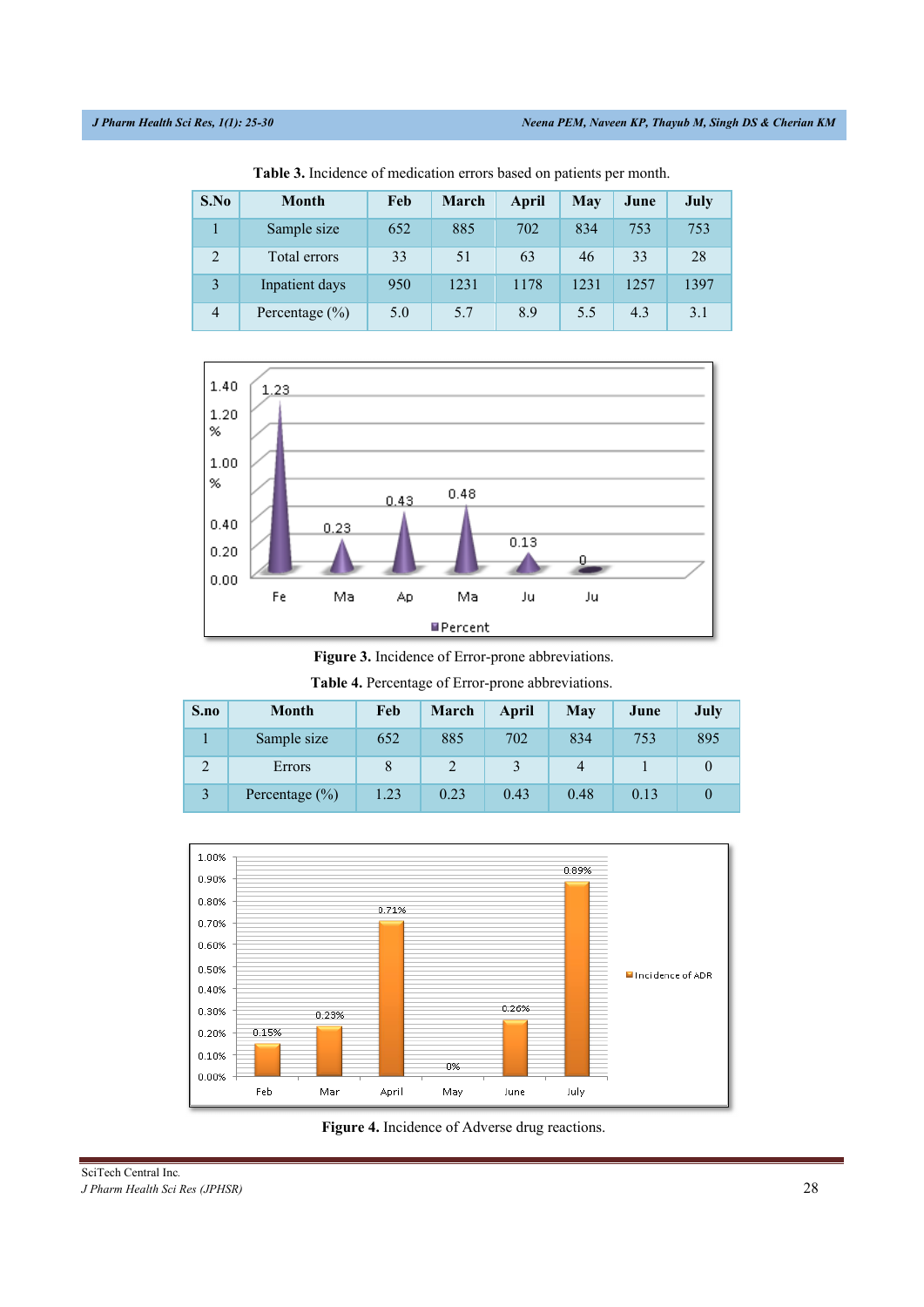| S.No           | <b>Month</b>       | Feb | March | April | <b>May</b> | June | July |
|----------------|--------------------|-----|-------|-------|------------|------|------|
|                | Sample size        | 652 | 885   | 702   | 834        | 753  | 753  |
| $\overline{2}$ | Total errors       | 33  | 51    | 63    | 46         | 33   | 28   |
| 3              | Inpatient days     | 950 | 1231  | 1178  | 1231       | 1257 | 1397 |
| $\overline{4}$ | Percentage $(\% )$ | 5.0 | 5.7   | 8.9   | 5.5        | 4.3  | 3.1  |

**Table 3.** Incidence of medication errors based on patients per month.



**Figure 3.** Incidence of Error-prone abbreviations.

**Table 4.** Percentage of Error-prone abbreviations.

| S.no | <b>Month</b>       | Feb  | March | April | May  | June | July |
|------|--------------------|------|-------|-------|------|------|------|
|      | Sample size        | 652  | 885   | 702   | 834  | 753  | 895  |
|      | Errors             |      |       |       |      |      |      |
|      | Percentage $(\% )$ | 1.23 | 0.23  | 0.43  | 0.48 | 0.13 |      |



**Figure 4.** Incidence of Adverse drug reactions.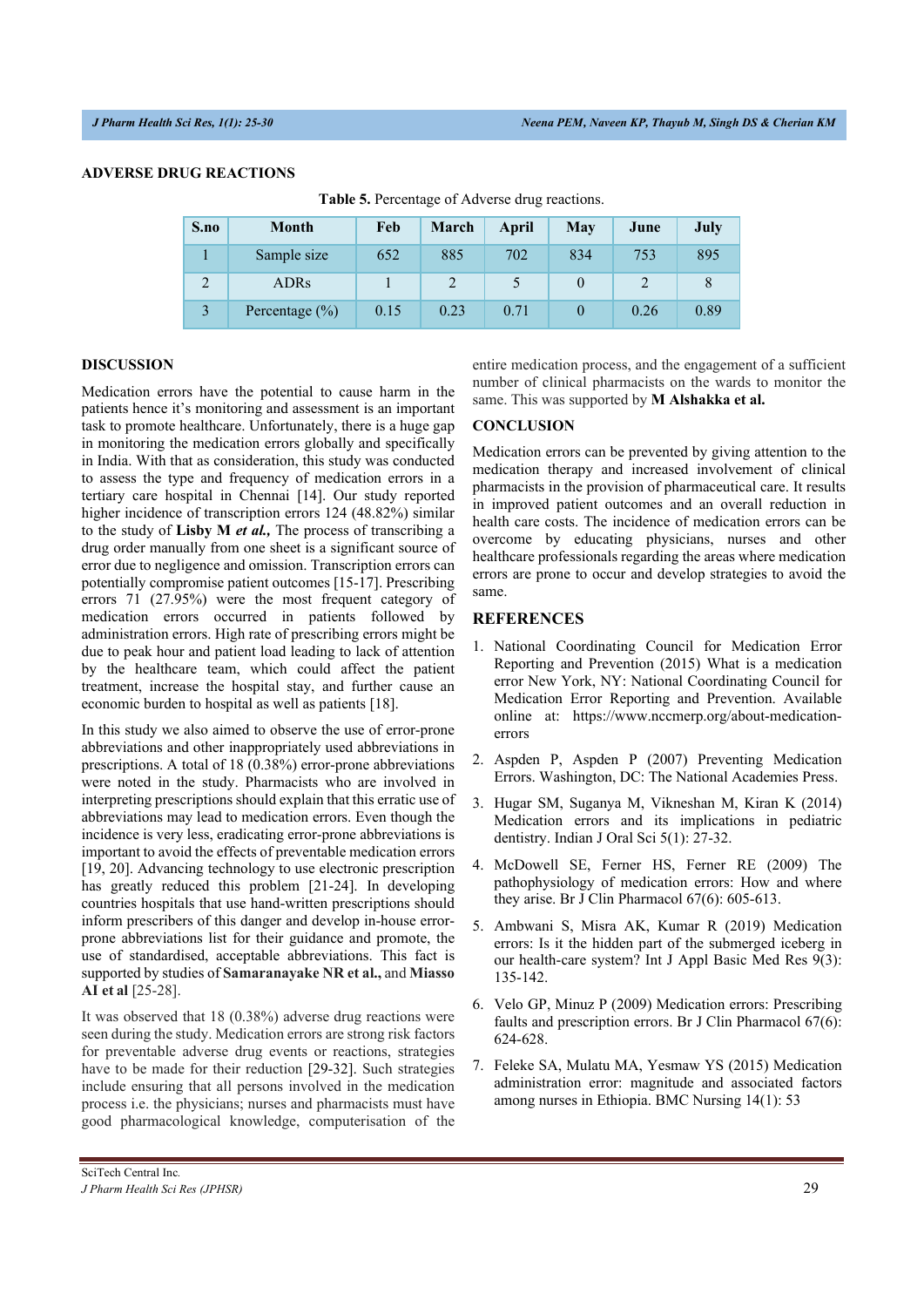#### **ADVERSE DRUG REACTIONS**

| S.no | Month              | Feb  | March | April | May | June | July |
|------|--------------------|------|-------|-------|-----|------|------|
|      | Sample size        | 652  | 885   | 702   | 834 | 753  | 895  |
|      | <b>ADRs</b>        |      |       |       |     |      |      |
|      | Percentage $(\% )$ | 0.15 | 0.23  | 0.71  |     | 0.26 | 0.89 |

**Table 5.** Percentage of Adverse drug reactions.

#### **DISCUSSION**

Medication errors have the potential to cause harm in the patients hence it's monitoring and assessment is an important task to promote healthcare. Unfortunately, there is a huge gap in monitoring the medication errors globally and specifically in India. With that as consideration, this study was conducted to assess the type and frequency of medication errors in a tertiary care hospital in Chennai [14]. Our study reported higher incidence of transcription errors 124 (48.82%) similar to the study of **Lisby M** *et al.,* The process of transcribing a drug order manually from one sheet is a significant source of error due to negligence and omission. Transcription errors can potentially compromise patient outcomes [15-17]. Prescribing errors 71 (27.95%) were the most frequent category of medication errors occurred in patients followed by administration errors. High rate of prescribing errors might be due to peak hour and patient load leading to lack of attention by the healthcare team, which could affect the patient treatment, increase the hospital stay, and further cause an economic burden to hospital as well as patients [18].

In this study we also aimed to observe the use of error-prone abbreviations and other inappropriately used abbreviations in prescriptions. A total of 18 (0.38%) error-prone abbreviations were noted in the study. Pharmacists who are involved in interpreting prescriptions should explain that this erratic use of abbreviations may lead to medication errors. Even though the incidence is very less, eradicating error-prone abbreviations is important to avoid the effects of preventable medication errors [19, 20]. Advancing technology to use electronic prescription has greatly reduced this problem [21-24]. In developing countries hospitals that use hand-written prescriptions should inform prescribers of this danger and develop in-house errorprone abbreviations list for their guidance and promote, the use of standardised, acceptable abbreviations. This fact is supported by studies of **Samaranayake NR et al.,** and **Miasso AI et al** [25-28].

It was observed that 18 (0.38%) adverse drug reactions were seen during the study. Medication errors are strong risk factors for preventable adverse drug events or reactions, strategies have to be made for their reduction [29-32]. Such strategies include ensuring that all persons involved in the medication process i.e. the physicians; nurses and pharmacists must have good pharmacological knowledge, computerisation of the entire medication process, and the engagement of a sufficient number of clinical pharmacists on the wards to monitor the same. This was supported by **M Alshakka et al.** 

#### **CONCLUSION**

Medication errors can be prevented by giving attention to the medication therapy and increased involvement of clinical pharmacists in the provision of pharmaceutical care. It results in improved patient outcomes and an overall reduction in health care costs. The incidence of medication errors can be overcome by educating physicians, nurses and other healthcare professionals regarding the areas where medication errors are prone to occur and develop strategies to avoid the same.

#### **REFERENCES**

- 1. National Coordinating Council for Medication Error Reporting and Prevention (2015) What is a medication error New York, NY: National Coordinating Council for Medication Error Reporting and Prevention. Available online at: https://www.nccmerp.org/about-medicationerrors
- 2. Aspden P, Aspden P (2007) Preventing Medication Errors. Washington, DC: The National Academies Press.
- 3. Hugar SM, Suganya M, Vikneshan M, Kiran K (2014) Medication errors and its implications in pediatric dentistry. Indian J Oral Sci 5(1): 27-32.
- 4. McDowell SE, Ferner HS, Ferner RE (2009) The pathophysiology of medication errors: How and where they arise. Br J Clin Pharmacol 67(6): 605-613.
- 5. Ambwani S, Misra AK, Kumar R (2019) Medication errors: Is it the hidden part of the submerged iceberg in our health-care system? Int J Appl Basic Med Res 9(3): 135-142.
- 6. Velo GP, Minuz P (2009) Medication errors: Prescribing faults and prescription errors. Br J Clin Pharmacol 67(6): 624-628.
- 7. Feleke SA, Mulatu MA, Yesmaw YS (2015) Medication administration error: magnitude and associated factors among nurses in Ethiopia. BMC Nursing 14(1): 53